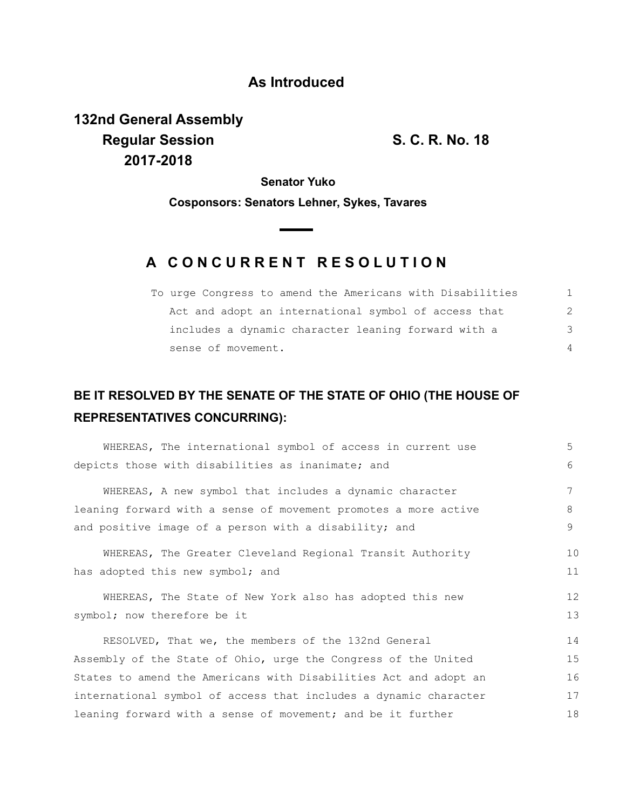## **As Introduced**

**132nd General Assembly Regular Session S. C. R. No. 18 2017-2018**

**Senator Yuko**

**Cosponsors: Senators Lehner, Sykes, Tavares**

## **A C O N C U R R E N T R E S O L U T I O N**

| To urge Congress to amend the Americans with Disabilities |               |
|-----------------------------------------------------------|---------------|
| Act and adopt an international symbol of access that      | $\mathcal{L}$ |
| includes a dynamic character leaning forward with a       | 3             |
| sense of movement.                                        | 4             |

## **BE IT RESOLVED BY THE SENATE OF THE STATE OF OHIO (THE HOUSE OF REPRESENTATIVES CONCURRING):**

| WHEREAS, The international symbol of access in current use       | 5                 |  |
|------------------------------------------------------------------|-------------------|--|
| depicts those with disabilities as inanimate; and                | 6                 |  |
| WHEREAS, A new symbol that includes a dynamic character          | 7                 |  |
| leaning forward with a sense of movement promotes a more active  | 8                 |  |
| and positive image of a person with a disability; and            | 9                 |  |
| WHEREAS, The Greater Cleveland Regional Transit Authority        | 10                |  |
| has adopted this new symbol; and                                 | 11                |  |
| WHEREAS, The State of New York also has adopted this new         | $12 \overline{ }$ |  |
| symbol; now therefore be it                                      |                   |  |
| RESOLVED, That we, the members of the 132nd General              | 14                |  |
| Assembly of the State of Ohio, urge the Congress of the United   |                   |  |
| States to amend the Americans with Disabilities Act and adopt an |                   |  |
| international symbol of access that includes a dynamic character |                   |  |
| leaning forward with a sense of movement; and be it further      |                   |  |